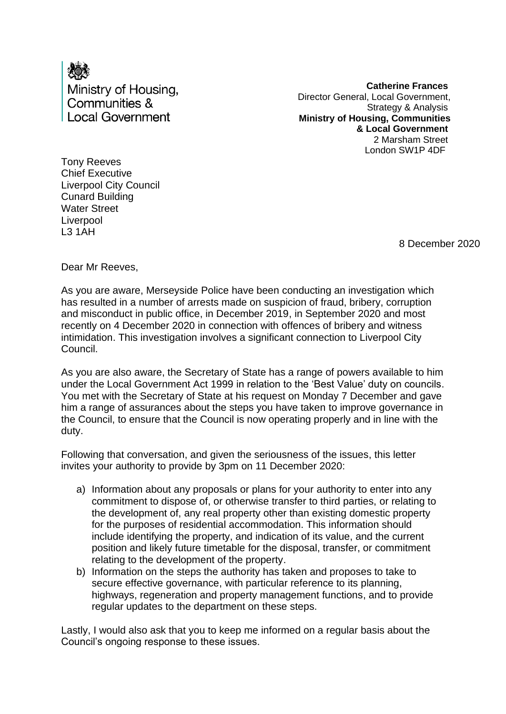

**Catherine Frances** Director General, Local Government, Strategy & Analysis **Ministry of Housing, Communities & Local Government** 2 Marsham Street London SW1P 4DF

Tony Reeves Chief Executive Liverpool City Council Cunard Building Water Street **Liverpool** L3 1AH

8 December 2020

Dear Mr Reeves,

As you are aware, Merseyside Police have been conducting an investigation which has resulted in a number of arrests made on suspicion of fraud, bribery, corruption and misconduct in public office, in December 2019, in September 2020 and most recently on 4 December 2020 in connection with offences of bribery and witness intimidation. This investigation involves a significant connection to Liverpool City Council.

As you are also aware, the Secretary of State has a range of powers available to him under the Local Government Act 1999 in relation to the 'Best Value' duty on councils. You met with the Secretary of State at his request on Monday 7 December and gave him a range of assurances about the steps you have taken to improve governance in the Council, to ensure that the Council is now operating properly and in line with the duty.

Following that conversation, and given the seriousness of the issues, this letter invites your authority to provide by 3pm on 11 December 2020:

- a) Information about any proposals or plans for your authority to enter into any commitment to dispose of, or otherwise transfer to third parties, or relating to the development of, any real property other than existing domestic property for the purposes of residential accommodation. This information should include identifying the property, and indication of its value, and the current position and likely future timetable for the disposal, transfer, or commitment relating to the development of the property.
- b) Information on the steps the authority has taken and proposes to take to secure effective governance, with particular reference to its planning, highways, regeneration and property management functions, and to provide regular updates to the department on these steps.

Lastly, I would also ask that you to keep me informed on a regular basis about the Council's ongoing response to these issues.